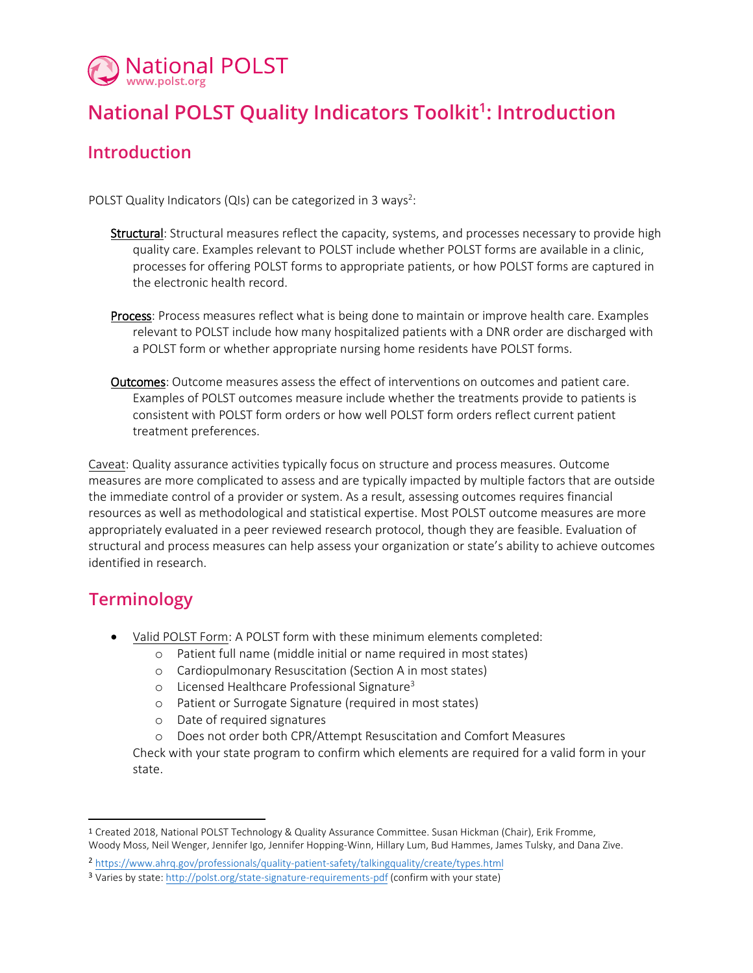

## **National POLST Quality Indicators Toolkit<sup>1</sup> : Introduction**

## **Introduction**

POLST Quality Indicators (QIs) can be categorized in 3 ways<sup>2</sup>:

- **Structural**: Structural measures reflect the capacity, systems, and processes necessary to provide high quality care. Examples relevant to POLST include whether POLST forms are available in a clinic, processes for offering POLST forms to appropriate patients, or how POLST forms are captured in the electronic health record.
- Process: Process measures reflect what is being done to maintain or improve health care. Examples relevant to POLST include how many hospitalized patients with a DNR order are discharged with a POLST form or whether appropriate nursing home residents have POLST forms.
- Outcomes: Outcome measures assess the effect of interventions on outcomes and patient care. Examples of POLST outcomes measure include whether the treatments provide to patients is consistent with POLST form orders or how well POLST form orders reflect current patient treatment preferences.

Caveat: Quality assurance activities typically focus on structure and process measures. Outcome measures are more complicated to assess and are typically impacted by multiple factors that are outside the immediate control of a provider or system. As a result, assessing outcomes requires financial resources as well as methodological and statistical expertise. Most POLST outcome measures are more appropriately evaluated in a peer reviewed research protocol, though they are feasible. Evaluation of structural and process measures can help assess your organization or state's ability to achieve outcomes identified in research.

## **Terminology**

- Valid POLST Form: A POLST form with these minimum elements completed:
	- o Patient full name (middle initial or name required in most states)
	- o Cardiopulmonary Resuscitation (Section A in most states)
	- $\circ$  Licensed Healthcare Professional Signature<sup>3</sup>
	- o Patient or Surrogate Signature (required in most states)
	- o Date of required signatures
	- o Does not order both CPR/Attempt Resuscitation and Comfort Measures

Check with your state program to confirm which elements are required for a valid form in your state.

<sup>1</sup> Created 2018, National POLST Technology & Quality Assurance Committee. Susan Hickman (Chair), Erik Fromme, Woody Moss, Neil Wenger, Jennifer Igo, Jennifer Hopping-Winn, Hillary Lum, Bud Hammes, James Tulsky, and Dana Zive.

<sup>2</sup> <https://www.ahrq.gov/professionals/quality-patient-safety/talkingquality/create/types.html>

<sup>&</sup>lt;sup>3</sup> Varies by state: <http://polst.org/state-signature-requirements-pdf> (confirm with your state)